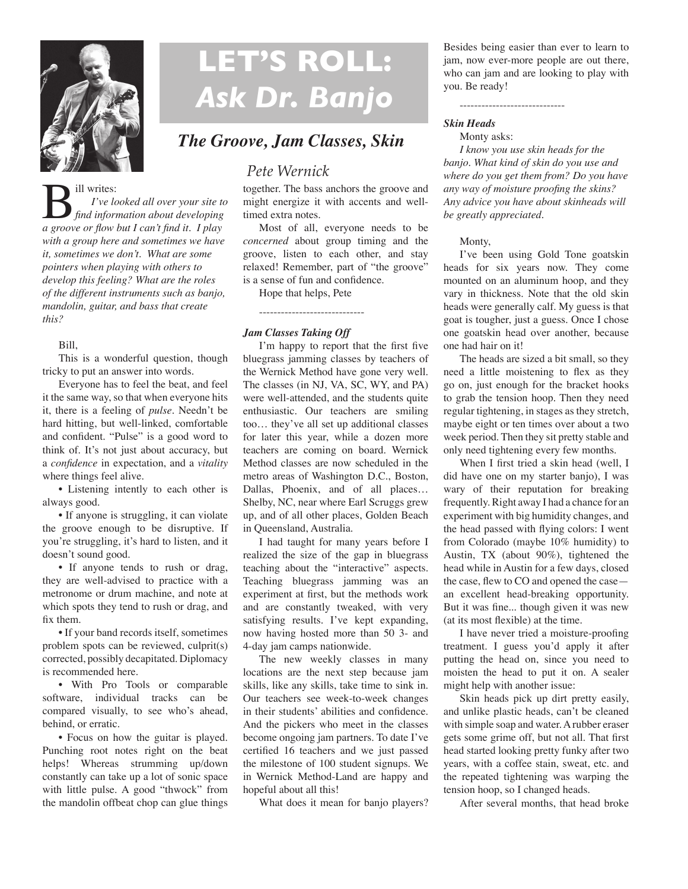

# **LET'S ROLL:**  *Ask Dr. Banjo*

### *The Groove, Jam Classes, Skin*

## *Pete Wernick*

together. The bass anchors the groove and might energize it with accents and welltimed extra notes.

Most of all, everyone needs to be *concerned* about group timing and the groove, listen to each other, and stay relaxed! Remember, part of "the groove" is a sense of fun and confidence.

Hope that helps, Pete

-----------------------------

#### *Jam Classes Taking Off*

I'm happy to report that the first five bluegrass jamming classes by teachers of the Wernick Method have gone very well. The classes (in NJ, VA, SC, WY, and PA) were well-attended, and the students quite enthusiastic. Our teachers are smiling too… they've all set up additional classes for later this year, while a dozen more teachers are coming on board. Wernick Method classes are now scheduled in the metro areas of Washington D.C., Boston, Dallas, Phoenix, and of all places… Shelby, NC, near where Earl Scruggs grew up, and of all other places, Golden Beach in Queensland, Australia.

I had taught for many years before I realized the size of the gap in bluegrass teaching about the "interactive" aspects. Teaching bluegrass jamming was an experiment at first, but the methods work and are constantly tweaked, with very satisfying results. I've kept expanding, now having hosted more than 50 3- and 4-day jam camps nationwide.

The new weekly classes in many locations are the next step because jam skills, like any skills, take time to sink in. Our teachers see week-to-week changes in their students' abilities and confidence. And the pickers who meet in the classes become ongoing jam partners. To date I've certified 16 teachers and we just passed the milestone of 100 student signups. We in Wernick Method-Land are happy and hopeful about all this!

What does it mean for banjo players?

Besides being easier than ever to learn to jam, now ever-more people are out there, who can jam and are looking to play with you. Be ready!

-----------------------------

#### *Skin Heads*

Monty asks:

*I know you use skin heads for the banjo. What kind of skin do you use and where do you get them from? Do you have any way of moisture proofing the skins? Any advice you have about skinheads will be greatly appreciated.* 

#### Monty,

I've been using Gold Tone goatskin heads for six years now. They come mounted on an aluminum hoop, and they vary in thickness. Note that the old skin heads were generally calf. My guess is that goat is tougher, just a guess. Once I chose one goatskin head over another, because one had hair on it!

The heads are sized a bit small, so they need a little moistening to flex as they go on, just enough for the bracket hooks to grab the tension hoop. Then they need regular tightening, in stages as they stretch, maybe eight or ten times over about a two week period. Then they sit pretty stable and only need tightening every few months.

When I first tried a skin head (well, I did have one on my starter banjo), I was wary of their reputation for breaking frequently. Right away I had a chance for an experiment with big humidity changes, and the head passed with flying colors: I went from Colorado (maybe 10% humidity) to Austin, TX (about 90%), tightened the head while in Austin for a few days, closed the case, flew to CO and opened the case an excellent head-breaking opportunity. But it was fine... though given it was new (at its most flexible) at the time.

I have never tried a moisture-proofing treatment. I guess you'd apply it after putting the head on, since you need to moisten the head to put it on. A sealer might help with another issue:

Skin heads pick up dirt pretty easily, and unlike plastic heads, can't be cleaned with simple soap and water. A rubber eraser gets some grime off, but not all. That first head started looking pretty funky after two years, with a coffee stain, sweat, etc. and the repeated tightening was warping the tension hoop, so I changed heads.

After several months, that head broke

**B** ill writes:<br>*I've looked all over your site to*<br>*a groove or flow but I can't find it. I play I've looked all over your site to find information about developing with a group here and sometimes we have it, sometimes we don't. What are some pointers when playing with others to develop this feeling? What are the roles of the different instruments such as banjo, mandolin, guitar, and bass that create this?*

#### Bill,

This is a wonderful question, though tricky to put an answer into words.

Everyone has to feel the beat, and feel it the same way, so that when everyone hits it, there is a feeling of *pulse.* Needn't be hard hitting, but well-linked, comfortable and confident. "Pulse" is a good word to think of. It's not just about accuracy, but a *confidence* in expectation, and a *vitality*  where things feel alive.

• Listening intently to each other is always good.

• If anyone is struggling, it can violate the groove enough to be disruptive. If you're struggling, it's hard to listen, and it doesn't sound good.

• If anyone tends to rush or drag, they are well-advised to practice with a metronome or drum machine, and note at which spots they tend to rush or drag, and fix them.

• If your band records itself, sometimes problem spots can be reviewed, culprit(s) corrected, possibly decapitated. Diplomacy is recommended here.

• With Pro Tools or comparable software, individual tracks can be compared visually, to see who's ahead, behind, or erratic.

• Focus on how the guitar is played. Punching root notes right on the beat helps! Whereas strumming up/down constantly can take up a lot of sonic space with little pulse. A good "thwock" from the mandolin offbeat chop can glue things